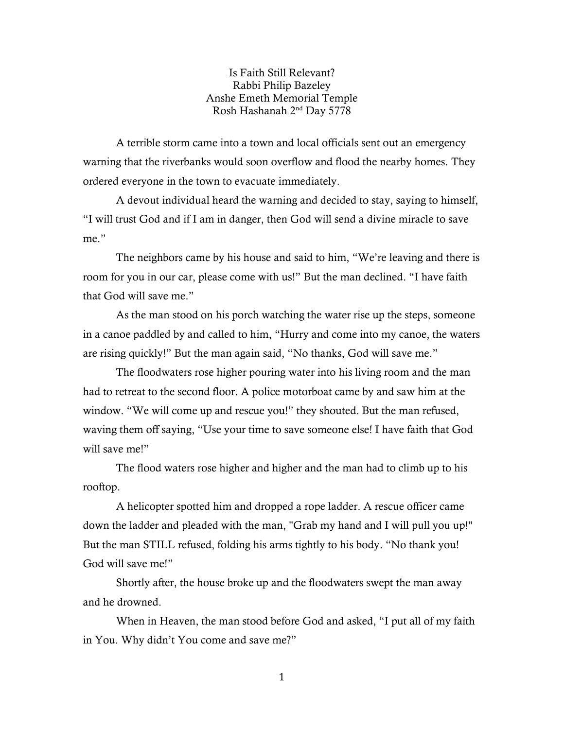Is Faith Still Relevant? Rabbi Philip Bazeley Anshe Emeth Memorial Temple Rosh Hashanah 2nd Day 5778

A terrible storm came into a town and local officials sent out an emergency warning that the riverbanks would soon overflow and flood the nearby homes. They ordered everyone in the town to evacuate immediately.

A devout individual heard the warning and decided to stay, saying to himself, "I will trust God and if I am in danger, then God will send a divine miracle to save me."

The neighbors came by his house and said to him, "We're leaving and there is room for you in our car, please come with us!" But the man declined. "I have faith that God will save me."

As the man stood on his porch watching the water rise up the steps, someone in a canoe paddled by and called to him, "Hurry and come into my canoe, the waters are rising quickly!" But the man again said, "No thanks, God will save me."

The floodwaters rose higher pouring water into his living room and the man had to retreat to the second floor. A police motorboat came by and saw him at the window. "We will come up and rescue you!" they shouted. But the man refused, waving them off saying, "Use your time to save someone else! I have faith that God will save me!"

The flood waters rose higher and higher and the man had to climb up to his rooftop.

A helicopter spotted him and dropped a rope ladder. A rescue officer came down the ladder and pleaded with the man, "Grab my hand and I will pull you up!" But the man STILL refused, folding his arms tightly to his body. "No thank you! God will save me!"

Shortly after, the house broke up and the floodwaters swept the man away and he drowned.

When in Heaven, the man stood before God and asked, "I put all of my faith in You. Why didn't You come and save me?"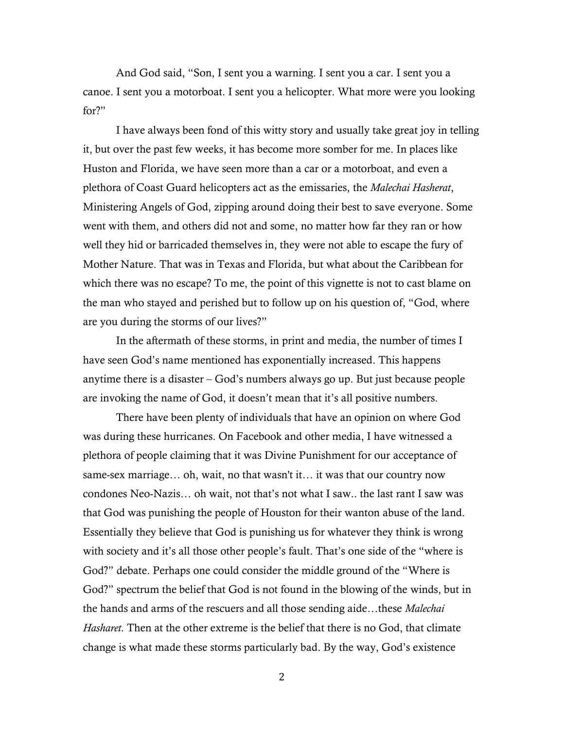And God said, "Son, I sent you a warning. I sent you a car. I sent you a canoe. I sent you a motorboat. I sent you a helicopter. What more were you looking for?"

I have always been fond of this witty story and usually take great joy in telling it, but over the past few weeks, it has become more somber for me. In places like Huston and Florida, we have seen more than a car or a motorboat, and even a plethora of Coast Guard helicopters act as the emissaries, the *Malechai Hasherat*, Ministering Angels of God, zipping around doing their best to save everyone. Some went with them, and others did not and some, no matter how far they ran or how well they hid or barricaded themselves in, they were not able to escape the fury of Mother Nature. That was in Texas and Florida, but what about the Caribbean for which there was no escape? To me, the point of this vignette is not to cast blame on the man who stayed and perished but to follow up on his question of, "God, where are you during the storms of our lives?"

In the aftermath of these storms, in print and media, the number of times I have seen God's name mentioned has exponentially increased. This happens anytime there is a disaster – God's numbers always go up. But just because people are invoking the name of God, it doesn't mean that it's all positive numbers.

There have been plenty of individuals that have an opinion on where God was during these hurricanes. On Facebook and other media, I have witnessed a plethora of people claiming that it was Divine Punishment for our acceptance of same-sex marriage… oh, wait, no that wasn't it… it was that our country now condones Neo-Nazis… oh wait, not that's not what I saw.. the last rant I saw was that God was punishing the people of Houston for their wanton abuse of the land. Essentially they believe that God is punishing us for whatever they think is wrong with society and it's all those other people's fault. That's one side of the "where is God?" debate. Perhaps one could consider the middle ground of the "Where is God?" spectrum the belief that God is not found in the blowing of the winds, but in the hands and arms of the rescuers and all those sending aide…these *Malechai Hasharet.* Then at the other extreme is the belief that there is no God, that climate change is what made these storms particularly bad. By the way, God's existence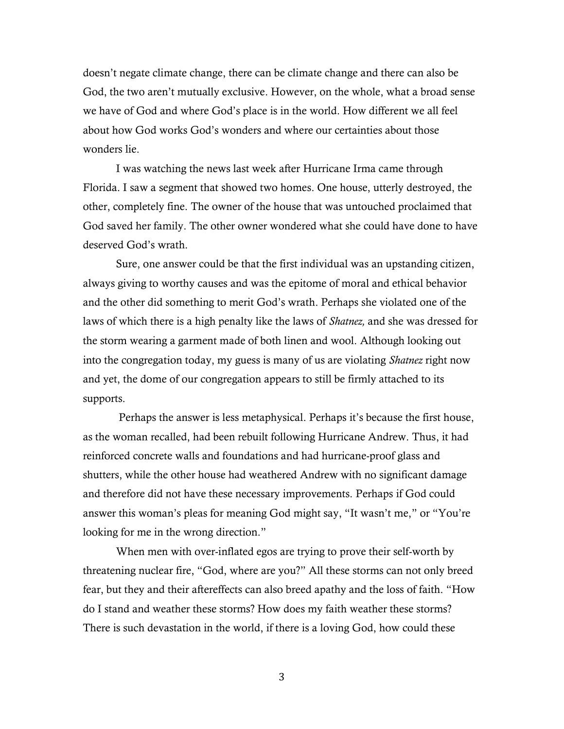doesn't negate climate change, there can be climate change and there can also be God, the two aren't mutually exclusive. However, on the whole, what a broad sense we have of God and where God's place is in the world. How different we all feel about how God works God's wonders and where our certainties about those wonders lie.

I was watching the news last week after Hurricane Irma came through Florida. I saw a segment that showed two homes. One house, utterly destroyed, the other, completely fine. The owner of the house that was untouched proclaimed that God saved her family. The other owner wondered what she could have done to have deserved God's wrath.

Sure, one answer could be that the first individual was an upstanding citizen, always giving to worthy causes and was the epitome of moral and ethical behavior and the other did something to merit God's wrath. Perhaps she violated one of the laws of which there is a high penalty like the laws of *Shatnez,* and she was dressed for the storm wearing a garment made of both linen and wool. Although looking out into the congregation today, my guess is many of us are violating *Shatnez* right now and yet, the dome of our congregation appears to still be firmly attached to its supports.

Perhaps the answer is less metaphysical. Perhaps it's because the first house, as the woman recalled, had been rebuilt following Hurricane Andrew. Thus, it had reinforced concrete walls and foundations and had hurricane-proof glass and shutters, while the other house had weathered Andrew with no significant damage and therefore did not have these necessary improvements. Perhaps if God could answer this woman's pleas for meaning God might say, "It wasn't me," or "You're looking for me in the wrong direction."

When men with over-inflated egos are trying to prove their self-worth by threatening nuclear fire, "God, where are you?" All these storms can not only breed fear, but they and their aftereffects can also breed apathy and the loss of faith. "How do I stand and weather these storms? How does my faith weather these storms? There is such devastation in the world, if there is a loving God, how could these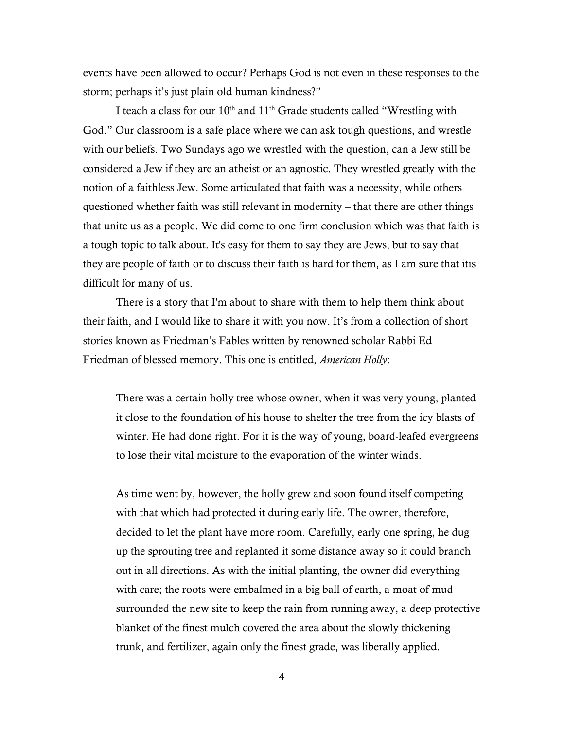events have been allowed to occur? Perhaps God is not even in these responses to the storm; perhaps it's just plain old human kindness?"

I teach a class for our 10<sup>th</sup> and 11<sup>th</sup> Grade students called "Wrestling with God." Our classroom is a safe place where we can ask tough questions, and wrestle with our beliefs. Two Sundays ago we wrestled with the question, can a Jew still be considered a Jew if they are an atheist or an agnostic. They wrestled greatly with the notion of a faithless Jew. Some articulated that faith was a necessity, while others questioned whether faith was still relevant in modernity – that there are other things that unite us as a people. We did come to one firm conclusion which was that faith is a tough topic to talk about. It's easy for them to say they are Jews, but to say that they are people of faith or to discuss their faith is hard for them, as I am sure that itis difficult for many of us.

There is a story that I'm about to share with them to help them think about their faith, and I would like to share it with you now. It's from a collection of short stories known as Friedman's Fables written by renowned scholar Rabbi Ed Friedman of blessed memory. This one is entitled, *American Holly*:

There was a certain holly tree whose owner, when it was very young, planted it close to the foundation of his house to shelter the tree from the icy blasts of winter. He had done right. For it is the way of young, board-leafed evergreens to lose their vital moisture to the evaporation of the winter winds.

As time went by, however, the holly grew and soon found itself competing with that which had protected it during early life. The owner, therefore, decided to let the plant have more room. Carefully, early one spring, he dug up the sprouting tree and replanted it some distance away so it could branch out in all directions. As with the initial planting, the owner did everything with care; the roots were embalmed in a big ball of earth, a moat of mud surrounded the new site to keep the rain from running away, a deep protective blanket of the finest mulch covered the area about the slowly thickening trunk, and fertilizer, again only the finest grade, was liberally applied.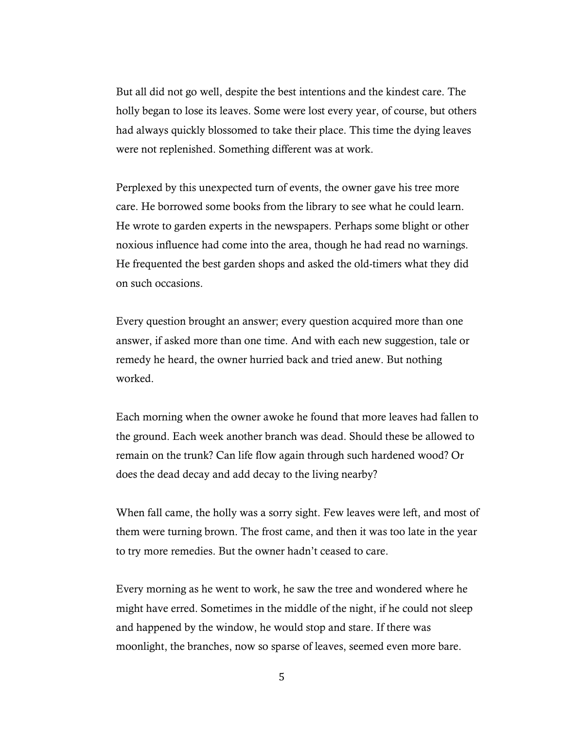But all did not go well, despite the best intentions and the kindest care. The holly began to lose its leaves. Some were lost every year, of course, but others had always quickly blossomed to take their place. This time the dying leaves were not replenished. Something different was at work.

Perplexed by this unexpected turn of events, the owner gave his tree more care. He borrowed some books from the library to see what he could learn. He wrote to garden experts in the newspapers. Perhaps some blight or other noxious influence had come into the area, though he had read no warnings. He frequented the best garden shops and asked the old-timers what they did on such occasions.

Every question brought an answer; every question acquired more than one answer, if asked more than one time. And with each new suggestion, tale or remedy he heard, the owner hurried back and tried anew. But nothing worked.

Each morning when the owner awoke he found that more leaves had fallen to the ground. Each week another branch was dead. Should these be allowed to remain on the trunk? Can life flow again through such hardened wood? Or does the dead decay and add decay to the living nearby?

When fall came, the holly was a sorry sight. Few leaves were left, and most of them were turning brown. The frost came, and then it was too late in the year to try more remedies. But the owner hadn't ceased to care.

Every morning as he went to work, he saw the tree and wondered where he might have erred. Sometimes in the middle of the night, if he could not sleep and happened by the window, he would stop and stare. If there was moonlight, the branches, now so sparse of leaves, seemed even more bare.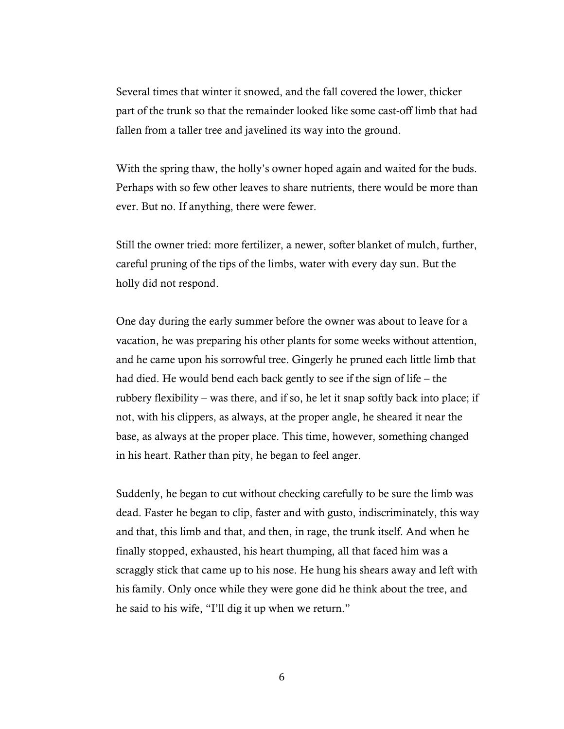Several times that winter it snowed, and the fall covered the lower, thicker part of the trunk so that the remainder looked like some cast-off limb that had fallen from a taller tree and javelined its way into the ground.

With the spring thaw, the holly's owner hoped again and waited for the buds. Perhaps with so few other leaves to share nutrients, there would be more than ever. But no. If anything, there were fewer.

Still the owner tried: more fertilizer, a newer, softer blanket of mulch, further, careful pruning of the tips of the limbs, water with every day sun. But the holly did not respond.

One day during the early summer before the owner was about to leave for a vacation, he was preparing his other plants for some weeks without attention, and he came upon his sorrowful tree. Gingerly he pruned each little limb that had died. He would bend each back gently to see if the sign of life – the rubbery flexibility – was there, and if so, he let it snap softly back into place; if not, with his clippers, as always, at the proper angle, he sheared it near the base, as always at the proper place. This time, however, something changed in his heart. Rather than pity, he began to feel anger.

Suddenly, he began to cut without checking carefully to be sure the limb was dead. Faster he began to clip, faster and with gusto, indiscriminately, this way and that, this limb and that, and then, in rage, the trunk itself. And when he finally stopped, exhausted, his heart thumping, all that faced him was a scraggly stick that came up to his nose. He hung his shears away and left with his family. Only once while they were gone did he think about the tree, and he said to his wife, "I'll dig it up when we return."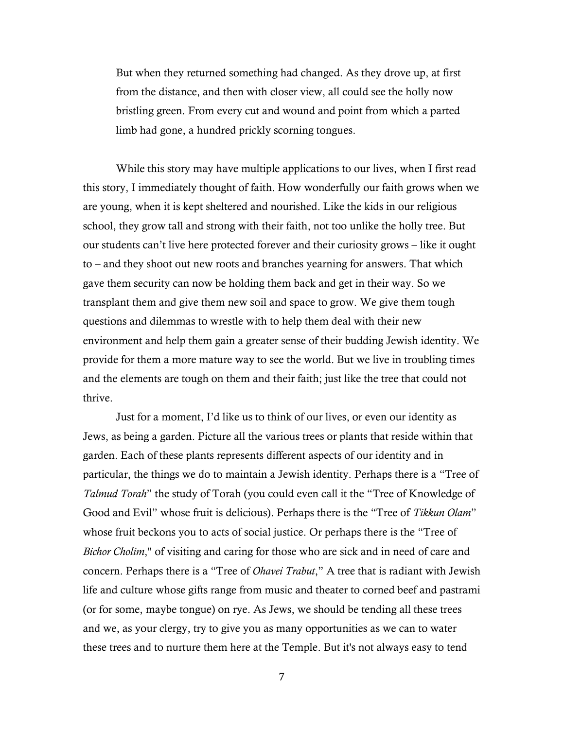But when they returned something had changed. As they drove up, at first from the distance, and then with closer view, all could see the holly now bristling green. From every cut and wound and point from which a parted limb had gone, a hundred prickly scorning tongues.

While this story may have multiple applications to our lives, when I first read this story, I immediately thought of faith. How wonderfully our faith grows when we are young, when it is kept sheltered and nourished. Like the kids in our religious school, they grow tall and strong with their faith, not too unlike the holly tree. But our students can't live here protected forever and their curiosity grows – like it ought to – and they shoot out new roots and branches yearning for answers. That which gave them security can now be holding them back and get in their way. So we transplant them and give them new soil and space to grow. We give them tough questions and dilemmas to wrestle with to help them deal with their new environment and help them gain a greater sense of their budding Jewish identity. We provide for them a more mature way to see the world. But we live in troubling times and the elements are tough on them and their faith; just like the tree that could not thrive.

Just for a moment, I'd like us to think of our lives, or even our identity as Jews, as being a garden. Picture all the various trees or plants that reside within that garden. Each of these plants represents different aspects of our identity and in particular, the things we do to maintain a Jewish identity. Perhaps there is a "Tree of *Talmud Torah*" the study of Torah (you could even call it the "Tree of Knowledge of Good and Evil" whose fruit is delicious). Perhaps there is the "Tree of *Tikkun Olam*" whose fruit beckons you to acts of social justice. Or perhaps there is the "Tree of *Bichor Cholim*," of visiting and caring for those who are sick and in need of care and concern. Perhaps there is a "Tree of *Ohavei Trabut*," A tree that is radiant with Jewish life and culture whose gifts range from music and theater to corned beef and pastrami (or for some, maybe tongue) on rye. As Jews, we should be tending all these trees and we, as your clergy, try to give you as many opportunities as we can to water these trees and to nurture them here at the Temple. But it's not always easy to tend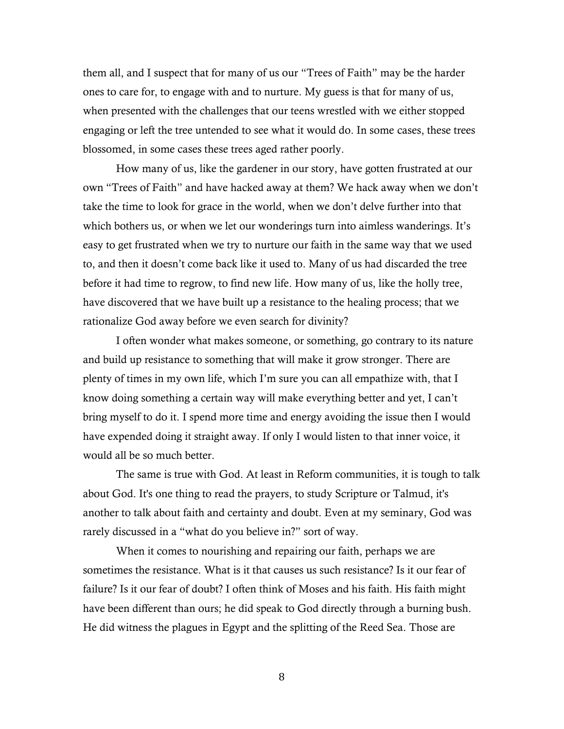them all, and I suspect that for many of us our "Trees of Faith" may be the harder ones to care for, to engage with and to nurture. My guess is that for many of us, when presented with the challenges that our teens wrestled with we either stopped engaging or left the tree untended to see what it would do. In some cases, these trees blossomed, in some cases these trees aged rather poorly.

How many of us, like the gardener in our story, have gotten frustrated at our own "Trees of Faith" and have hacked away at them? We hack away when we don't take the time to look for grace in the world, when we don't delve further into that which bothers us, or when we let our wonderings turn into aimless wanderings. It's easy to get frustrated when we try to nurture our faith in the same way that we used to, and then it doesn't come back like it used to. Many of us had discarded the tree before it had time to regrow, to find new life. How many of us, like the holly tree, have discovered that we have built up a resistance to the healing process; that we rationalize God away before we even search for divinity?

I often wonder what makes someone, or something, go contrary to its nature and build up resistance to something that will make it grow stronger. There are plenty of times in my own life, which I'm sure you can all empathize with, that I know doing something a certain way will make everything better and yet, I can't bring myself to do it. I spend more time and energy avoiding the issue then I would have expended doing it straight away. If only I would listen to that inner voice, it would all be so much better.

The same is true with God. At least in Reform communities, it is tough to talk about God. It's one thing to read the prayers, to study Scripture or Talmud, it's another to talk about faith and certainty and doubt. Even at my seminary, God was rarely discussed in a "what do you believe in?" sort of way.

When it comes to nourishing and repairing our faith, perhaps we are sometimes the resistance. What is it that causes us such resistance? Is it our fear of failure? Is it our fear of doubt? I often think of Moses and his faith. His faith might have been different than ours; he did speak to God directly through a burning bush. He did witness the plagues in Egypt and the splitting of the Reed Sea. Those are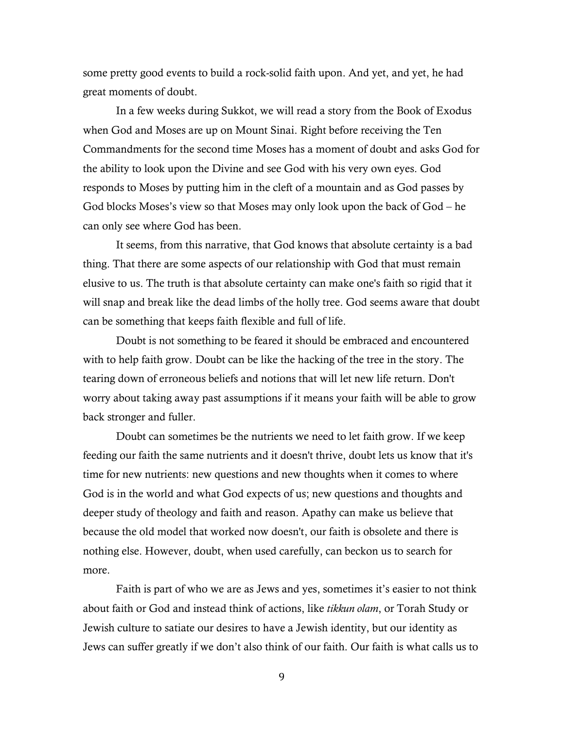some pretty good events to build a rock-solid faith upon. And yet, and yet, he had great moments of doubt.

In a few weeks during Sukkot, we will read a story from the Book of Exodus when God and Moses are up on Mount Sinai. Right before receiving the Ten Commandments for the second time Moses has a moment of doubt and asks God for the ability to look upon the Divine and see God with his very own eyes. God responds to Moses by putting him in the cleft of a mountain and as God passes by God blocks Moses's view so that Moses may only look upon the back of God – he can only see where God has been.

It seems, from this narrative, that God knows that absolute certainty is a bad thing. That there are some aspects of our relationship with God that must remain elusive to us. The truth is that absolute certainty can make one's faith so rigid that it will snap and break like the dead limbs of the holly tree. God seems aware that doubt can be something that keeps faith flexible and full of life.

Doubt is not something to be feared it should be embraced and encountered with to help faith grow. Doubt can be like the hacking of the tree in the story. The tearing down of erroneous beliefs and notions that will let new life return. Don't worry about taking away past assumptions if it means your faith will be able to grow back stronger and fuller.

Doubt can sometimes be the nutrients we need to let faith grow. If we keep feeding our faith the same nutrients and it doesn't thrive, doubt lets us know that it's time for new nutrients: new questions and new thoughts when it comes to where God is in the world and what God expects of us; new questions and thoughts and deeper study of theology and faith and reason. Apathy can make us believe that because the old model that worked now doesn't, our faith is obsolete and there is nothing else. However, doubt, when used carefully, can beckon us to search for more.

Faith is part of who we are as Jews and yes, sometimes it's easier to not think about faith or God and instead think of actions, like *tikkun olam*, or Torah Study or Jewish culture to satiate our desires to have a Jewish identity, but our identity as Jews can suffer greatly if we don't also think of our faith. Our faith is what calls us to